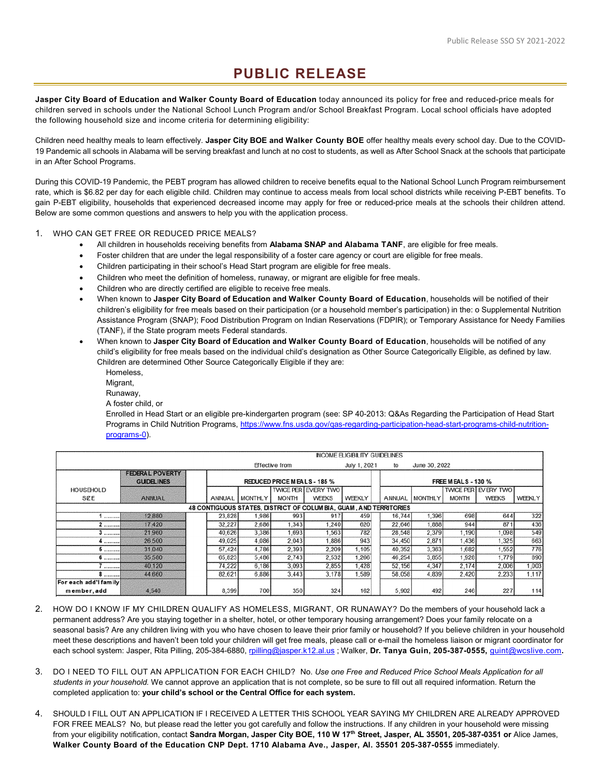## **PUBLIC RELEASE**

**Jasper City Board of Education and Walker County Board of Education** today announced its policy for free and reduced-price meals for children served in schools under the National School Lunch Program and/or School Breakfast Program. Local school officials have adopted the following household size and income criteria for determining eligibility:

Children need healthy meals to learn effectively. **Jasper City BOE and Walker County BOE** offer healthy meals every school day. Due to the COVID-19 Pandemic all schools in Alabama will be serving breakfast and lunch at no cost to students, as well as After School Snack at the schools that participate in an After School Programs.

During this COVID-19 Pandemic, the PEBT program has allowed children to receive benefits equal to the National School Lunch Program reimbursement rate, which is \$6.82 per day for each eligible child. Children may continue to access meals from local school districts while receiving P-EBT benefits. To gain P-EBT eligibility, households that experienced decreased income may apply for free or reduced-price meals at the schools their children attend. Below are some common questions and answers to help you with the application process.

## 1. WHO CAN GET FREE OR REDUCED PRICE MEALS?

- All children in households receiving benefits from **Alabama SNAP and Alabama TANF**, are eligible for free meals.
- Foster children that are under the legal responsibility of a foster care agency or court are eligible for free meals.
- Children participating in their school's Head Start program are eligible for free meals.
- Children who meet the definition of homeless, runaway, or migrant are eligible for free meals.
- Children who are directly certified are eligible to receive free meals.
- When known to **Jasper City Board of Education and Walker County Board of Education**, households will be notified of their children's eligibility for free meals based on their participation (or a household member's participation) in the: o Supplemental Nutrition Assistance Program (SNAP); Food Distribution Program on Indian Reservations (FDPIR); or Temporary Assistance for Needy Families (TANF), if the State program meets Federal standards.
- When known to **Jasper City Board of Education and Walker County Board of Education**, households will be notified of any child's eligibility for free meals based on the individual child's designation as Other Source Categorically Eligible, as defined by law. Children are determined Other Source Categorically Eligible if they are:
	- Homeless, Migrant, Runaway, A foster child, or

Enrolled in Head Start or an eligible pre-kindergarten program (see: SP 40-2013: Q&As Regarding the Participation of Head Start Programs in Child Nutrition Programs, [https://www.fns.usda.gov/qas-regarding-participation-head-start-programs-child-nutrition](https://www.fns.usda.gov/qas-regarding-participation-head-start-programs-child-nutrition-programs-0)[programs-0\)](https://www.fns.usda.gov/qas-regarding-participation-head-start-programs-child-nutrition-programs-0).

|                                                                    | <b>INCOME ELIGIBILITY GUIDELINES</b>        |                             |                |                |                            |              |        |                           |              |                            |        |  |
|--------------------------------------------------------------------|---------------------------------------------|-----------------------------|----------------|----------------|----------------------------|--------------|--------|---------------------------|--------------|----------------------------|--------|--|
|                                                                    |                                             |                             |                | Effective from |                            | July 1, 2021 | to     | June 30, 2022             |              |                            |        |  |
|                                                                    | <b>FEDERAL POVERTY</b><br><b>GUIDELINES</b> | REDUCED PRICE MEALS - 185 % |                |                |                            |              |        | <b>FREE MEALS - 130 %</b> |              |                            |        |  |
| <b>HOUSEHOLD</b>                                                   |                                             |                             |                |                | <b>TWICE PER EVERY TWO</b> |              |        |                           |              | <b>TWICE PER EVERY TWO</b> |        |  |
| SZE                                                                | ANNUAL                                      | ANNUAL                      | <b>MONTHLY</b> | <b>MONTH</b>   | <b>WEEKS</b>               | WEEKLY       | ANNUAL | <b>MONTHLY</b>            | <b>MONTH</b> | WEEKS                      | WEEKLY |  |
| 48 CONTIGUOUS STATES, DISTRICT OF COLUM BIA, GUAM, AND TERRITORIES |                                             |                             |                |                |                            |              |        |                           |              |                            |        |  |
|                                                                    | 12,880                                      | 23,828                      | 1,986          | 993            | 917                        | 459          | 16,744 | 1.396                     | 698          | 644                        | 322    |  |
| 2                                                                  | 17,420                                      | 32,227                      | 2,686          | 1,343          | 1.240                      | 620          | 22,646 | 1,888                     | 944          | 871                        | 436    |  |
| 3                                                                  | 21,960                                      | 40.626                      | 3,386          | 1.693          | 1.563                      | 782          | 28,548 | 2.379                     | 1.190        | 1.098                      | 549    |  |
| 4                                                                  | 26,500                                      | 49,025                      | 4.086          | 2.043          | 1.886                      | 943          | 34,450 | 2,871                     | 1,436        | 1,325                      | 663    |  |
| 5                                                                  | 31,040                                      | 57,424                      | 4,786          | 2,393          | 2,209                      | 1,105        | 40,352 | 3,363                     | 1,682        | 1,552                      | 776    |  |
| 6 '                                                                | 35,580                                      | 65,823                      | 5,486          | 2.743          | 2,532                      | 1,266        | 46,254 | 3,855                     | 1,928        | 1.779                      | 890    |  |
| .                                                                  | 40,120                                      | 74,222                      | 6.186          | 3,093          | 2,855                      | 1,428        | 52.156 | 4.347                     | 2,174        | 2.006                      | 1,003  |  |
| 8                                                                  | 44,660                                      | 82.621                      | 6,886          | 3.443          | 3.178                      | 1,589        | 58,058 | 4.839                     | 2.420        | 2.233                      | 1.117  |  |
| For each add'I family<br>member, add                               | 4,540                                       | 8,399                       | 700            | 350            | 324                        | 162          | 5,902  | 492                       | 246          | 227                        | 114    |  |

- 2. HOW DO I KNOW IF MY CHILDREN QUALIFY AS HOMELESS, MIGRANT, OR RUNAWAY? Do the members of your household lack a permanent address? Are you staying together in a shelter, hotel, or other temporary housing arrangement? Does your family relocate on a seasonal basis? Are any children living with you who have chosen to leave their prior family or household? If you believe children in your household meet these descriptions and haven't been told your children will get free meals, please call or e-mail the homeless liaison or migrant coordinator for each school system: Jasper, Rita Pilling, 205-384-6880[, rpilling@jasper.k12.al.us](mailto:rpilling@jasper.k12.al.us) ; Walker, **Dr. Tanya Guin, 205-387-0555,** [guint@wcslive.com](mailto:guint@wcslive.com)**.**
- 3. DO I NEED TO FILL OUT AN APPLICATION FOR EACH CHILD? No. *Use one Free and Reduced Price School Meals Application for all students in your household.* We cannot approve an application that is not complete, so be sure to fill out all required information. Return the completed application to: **your child's school or the Central Office for each system.**
- 4. SHOULD I FILL OUT AN APPLICATION IF I RECEIVED A LETTER THIS SCHOOL YEAR SAYING MY CHILDREN ARE ALREADY APPROVED FOR FREE MEALS? No, but please read the letter you got carefully and follow the instructions. If any children in your household were missing from your eligibility notification, contact **Sandra Morgan, Jasper City BOE, 110 W 17th Street, Jasper, AL 35501, 205-387-0351 or** Alice James, **Walker County Board of the Education CNP Dept. 1710 Alabama Ave., Jasper, Al. 35501 205-387-0555** immediately.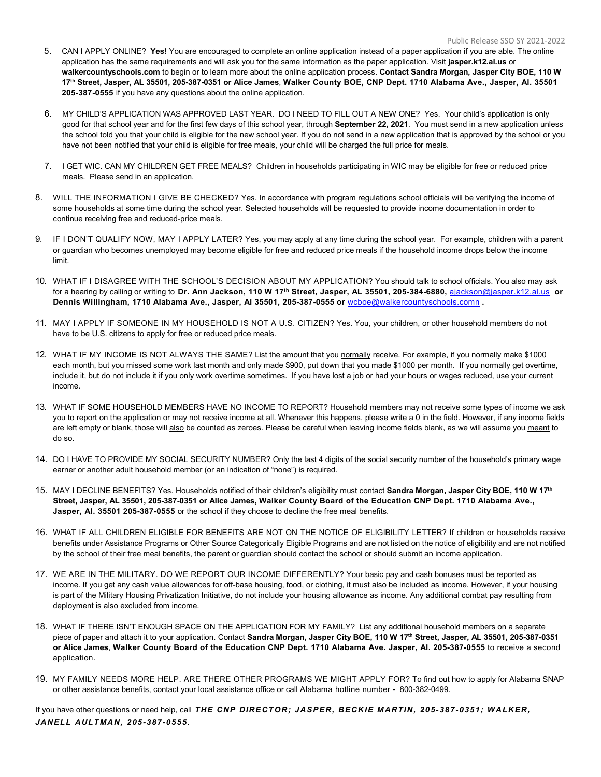- 5. CAN I APPLY ONLINE? **Yes!** You are encouraged to complete an online application instead of a paper application if you are able. The online application has the same requirements and will ask you for the same information as the paper application. Visit **jasper.k12.al.us** or **walkercountyschools.com** to begin or to learn more about the online application process. **Contact Sandra Morgan, Jasper City BOE, 110 W 17th Street, Jasper, AL 35501, 205-387-0351 or Alice James**, **Walker County BOE, CNP Dept. 1710 Alabama Ave., Jasper, Al. 35501 205-387-0555** if you have any questions about the online application.
- 6. MY CHILD'S APPLICATION WAS APPROVED LAST YEAR. DO I NEED TO FILL OUT A NEW ONE? Yes. Your child's application is only good for that school year and for the first few days of this school year, through **September 22, 2021**. You must send in a new application unless the school told you that your child is eligible for the new school year. If you do not send in a new application that is approved by the school or you have not been notified that your child is eligible for free meals, your child will be charged the full price for meals.
- 7. I GET WIC. CAN MY CHILDREN GET FREE MEALS? Children in households participating in WIC may be eligible for free or reduced price meals. Please send in an application.
- 8. WILL THE INFORMATION I GIVE BE CHECKED? Yes. In accordance with program regulations school officials will be verifying the income of some households at some time during the school year. Selected households will be requested to provide income documentation in order to continue receiving free and reduced-price meals.
- 9. IF I DON'T QUALIFY NOW, MAY I APPLY LATER? Yes, you may apply at any time during the school year. For example, children with a parent or guardian who becomes unemployed may become eligible for free and reduced price meals if the household income drops below the income limit.
- 10. WHAT IF I DISAGREE WITH THE SCHOOL'S DECISION ABOUT MY APPLICATION? You should talk to school officials. You also may ask for a hearing by calling or writing to **Dr. Ann Jackson, 110 W 17th Street, Jasper, AL 35501, 205-384-6880,** [ajackson@jasper.k12.al.us](mailto:ajackson@jasper.k12.al.us) **or Dennis Willingham, 1710 Alabama Ave., Jasper, Al 35501, 205-387-0555 or** [wcboe@walkercountyschools.comn](mailto:wcboe@walkercountyschools.comn) **.**
- 11. MAY I APPLY IF SOMEONE IN MY HOUSEHOLD IS NOT A U.S. CITIZEN? Yes. You, your children, or other household members do not have to be U.S. citizens to apply for free or reduced price meals.
- 12. WHAT IF MY INCOME IS NOT ALWAYS THE SAME? List the amount that you normally receive. For example, if you normally make \$1000 each month, but you missed some work last month and only made \$900, put down that you made \$1000 per month. If you normally get overtime, include it, but do not include it if you only work overtime sometimes. If you have lost a job or had your hours or wages reduced, use your current income.
- 13. WHAT IF SOME HOUSEHOLD MEMBERS HAVE NO INCOME TO REPORT? Household members may not receive some types of income we ask you to report on the application or may not receive income at all. Whenever this happens, please write a 0 in the field. However, if any income fields are left empty or blank, those will also be counted as zeroes. Please be careful when leaving income fields blank, as we will assume you meant to do so.
- 14. DO I HAVE TO PROVIDE MY SOCIAL SECURITY NUMBER? Only the last 4 digits of the social security number of the household's primary wage earner or another adult household member (or an indication of "none") is required.
- 15. MAY I DECLINE BENEFITS? Yes. Households notified of their children's eligibility must contact **Sandra Morgan, Jasper City BOE, 110 W 17th Street, Jasper, AL 35501, 205-387-0351 or Alice James, Walker County Board of the Education CNP Dept. 1710 Alabama Ave., Jasper, Al. 35501 205-387-0555** or the school if they choose to decline the free meal benefits.
- 16. WHAT IF ALL CHILDREN ELIGIBLE FOR BENEFITS ARE NOT ON THE NOTICE OF ELIGIBILITY LETTER? If children or households receive benefits under Assistance Programs or Other Source Categorically Eligible Programs and are not listed on the notice of eligibility and are not notified by the school of their free meal benefits, the parent or guardian should contact the school or should submit an income application.
- 17. WE ARE IN THE MILITARY. DO WE REPORT OUR INCOME DIFFERENTLY? Your basic pay and cash bonuses must be reported as income. If you get any cash value allowances for off-base housing, food, or clothing, it must also be included as income. However, if your housing is part of the Military Housing Privatization Initiative, do not include your housing allowance as income. Any additional combat pay resulting from deployment is also excluded from income.
- 18. WHAT IF THERE ISN'T ENOUGH SPACE ON THE APPLICATION FOR MY FAMILY? List any additional household members on a separate piece of paper and attach it to your application. Contact **Sandra Morgan, Jasper City BOE, 110 W 17th Street, Jasper, AL 35501, 205-387-0351 or Alice James**, **Walker County Board of the Education CNP Dept. 1710 Alabama Ave. Jasper, Al. 205-387-0555** to receive a second application.
- 19. MY FAMILY NEEDS MORE HELP. ARE THERE OTHER PROGRAMS WE MIGHT APPLY FOR? To find out how to apply for Alabama SNAP or other assistance benefits, contact your local assistance office or call Alabama hotline number **-** 800-382-0499.

If you have other questions or need help, call *THE CNP DIRECTOR; JASPER, BECKIE MARTIN, 205-387-0351; WALKER, JANELL AULTMAN, 205-387-0555.*